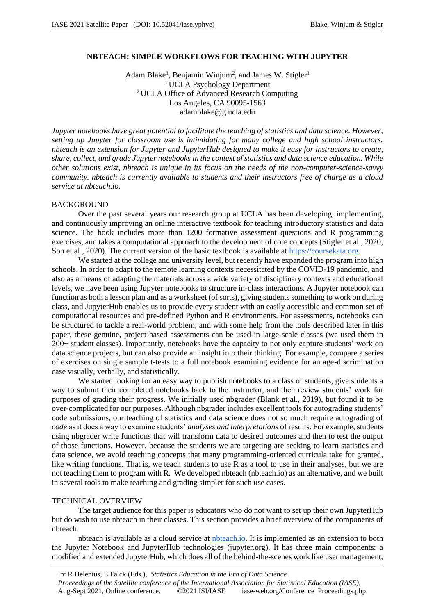### **NBTEACH: SIMPLE WORKFLOWS FOR TEACHING WITH JUPYTER**

Adam Blake<sup>1</sup>, Benjamin Winjum<sup>2</sup>, and James W. Stigler<sup>1</sup> <sup>1</sup> UCLA Psychology Department <sup>2</sup>UCLA Office of Advanced Research Computing Los Angeles, CA 90095-1563 adamblake@g.ucla.edu

*Jupyter notebooks have great potential to facilitate the teaching of statistics and data science. However, setting up Jupyter for classroom use is intimidating for many college and high school instructors. nbteach is an extension for Jupyter and JupyterHub designed to make it easy for instructors to create, share, collect, and grade Jupyter notebooks in the context of statistics and data science education. While other solutions exist, nbteach is unique in its focus on the needs of the non-computer-science-savvy community. nbteach is currently available to students and their instructors free of charge as a cloud service at nbteach.io.*

#### BACKGROUND

Over the past several years our research group at UCLA has been developing, implementing, and continuously improving an online interactive textbook for teaching introductory statistics and data science. The book includes more than 1200 formative assessment questions and R programming exercises, and takes a computational approach to the development of core concepts (Stigler et al., 2020; Son et al., 2020). The current version of the basic textbook is available at https://coursekata.org.

We started at the college and university level, but recently have expanded the program into high schools. In order to adapt to the remote learning contexts necessitated by the COVID-19 pandemic, and also as a means of adapting the materials across a wide variety of disciplinary contexts and educational levels, we have been using Jupyter notebooks to structure in-class interactions. A Jupyter notebook can function as both a lesson plan and as a worksheet (of sorts), giving students something to work on during class, and JupyterHub enables us to provide every student with an easily accessible and common set of computational resources and pre-defined Python and R environments. For assessments, notebooks can be structured to tackle a real-world problem, and with some help from the tools described later in this paper, these genuine, project-based assessments can be used in large-scale classes (we used them in 200+ student classes). Importantly, notebooks have the capacity to not only capture students' work on data science projects, but can also provide an insight into their thinking. For example, compare a series of exercises on single sample t-tests to a full notebook examining evidence for an age-discrimination case visually, verbally, and statistically.

We started looking for an easy way to publish notebooks to a class of students, give students a way to submit their completed notebooks back to the instructor, and then review students' work for purposes of grading their progress. We initially used nbgrader (Blank et al., 2019), but found it to be over-complicated for our purposes. Although nbgrader includes excellent tools for autograding students' code submissions, our teaching of statistics and data science does not so much require autograding of *code* as it does a way to examine students' *analyses and interpretations* of results. For example, students using nbgrader write functions that will transform data to desired outcomes and then to test the output of those functions. However, because the students we are targeting are seeking to learn statistics and data science, we avoid teaching concepts that many programming-oriented curricula take for granted, like writing functions. That is, we teach students to use R as a tool to use in their analyses, but we are not teaching them to program with R. We developed nbteach (nbteach.io) as an alternative, and we built in several tools to make teaching and grading simpler for such use cases.

#### TECHNICAL OVERVIEW

The target audience for this paper is educators who do not want to set up their own JupyterHub but do wish to use nbteach in their classes. This section provides a brief overview of the components of nbteach.

nbteach is available as a cloud service at nbteach.io. It is implemented as an extension to both the Jupyter Notebook and JupyterHub technologies (jupyter.org). It has three main components: a modified and extended JupyterHub, which does all of the behind-the-scenes work like user management;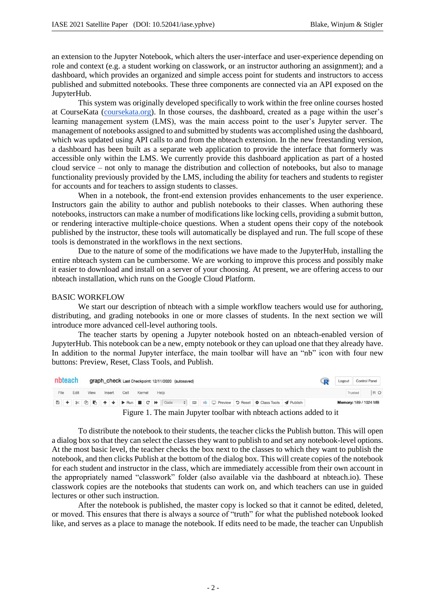an extension to the Jupyter Notebook, which alters the user-interface and user-experience depending on role and context (e.g. a student working on classwork, or an instructor authoring an assignment); and a dashboard, which provides an organized and simple access point for students and instructors to access published and submitted notebooks. These three components are connected via an API exposed on the JupyterHub.

This system was originally developed specifically to work within the free online courses hosted at CourseKata (coursekata.org). In those courses, the dashboard, created as a page within the user's learning management system (LMS), was the main access point to the user's Jupyter server. The management of notebooks assigned to and submitted by students was accomplished using the dashboard, which was updated using API calls to and from the nbteach extension. In the new freestanding version, a dashboard has been built as a separate web application to provide the interface that formerly was accessible only within the LMS. We currently provide this dashboard application as part of a hosted cloud service – not only to manage the distribution and collection of notebooks, but also to manage functionality previously provided by the LMS, including the ability for teachers and students to register for accounts and for teachers to assign students to classes.

When in a notebook, the front-end extension provides enhancements to the user experience. Instructors gain the ability to author and publish notebooks to their classes. When authoring these notebooks, instructors can make a number of modifications like locking cells, providing a submit button, or rendering interactive multiple-choice questions. When a student opens their copy of the notebook published by the instructor, these tools will automatically be displayed and run. The full scope of these tools is demonstrated in the workflows in the next sections.

Due to the nature of some of the modifications we have made to the JupyterHub, installing the entire nbteach system can be cumbersome. We are working to improve this process and possibly make it easier to download and install on a server of your choosing. At present, we are offering access to our nbteach installation, which runs on the Google Cloud Platform.

#### BASIC WORKFLOW

We start our description of nbteach with a simple workflow teachers would use for authoring, distributing, and grading notebooks in one or more classes of students. In the next section we will introduce more advanced cell-level authoring tools.

The teacher starts by opening a Jupyter notebook hosted on an nbteach-enabled version of JupyterHub. This notebook can be a new, empty notebook or they can upload one that they already have. In addition to the normal Jupyter interface, the main toolbar will have an "nb" icon with four new buttons: Preview, Reset, Class Tools, and Publish.

| nbteach |  |      | graph_check Last Checkpoint: 12/11/2020 (autosaved) |        |  |      |        |  |  |      |  |  |  |  |  |                                                                                      |  | <b>Control Panel</b><br>Logout |  |
|---------|--|------|-----------------------------------------------------|--------|--|------|--------|--|--|------|--|--|--|--|--|--------------------------------------------------------------------------------------|--|--------------------------------|--|
|         |  | Fdit | View                                                | Insert |  | Cell | Kernel |  |  | Help |  |  |  |  |  |                                                                                      |  | Trusted                        |  |
|         |  |      |                                                     |        |  |      |        |  |  |      |  |  |  |  |  | 图 + ※ ① IB ↑ ↓ ▶ Run ■ C ▶ Code ↓ ■ nb □ Preview D Reset $\Phi$ Class Tools イPublish |  | <b>Memory: 189 / 1024 MB</b>   |  |

Figure 1. The main Jupyter toolbar with nbteach actions added to it

To distribute the notebook to their students, the teacher clicks the Publish button. This will open a dialog box so that they can select the classes they want to publish to and set any notebook-level options. At the most basic level, the teacher checks the box next to the classes to which they want to publish the notebook, and then clicks Publish at the bottom of the dialog box. This will create copies of the notebook for each student and instructor in the class, which are immediately accessible from their own account in the appropriately named "classwork" folder (also available via the dashboard at nbteach.io). These classwork copies are the notebooks that students can work on, and which teachers can use in guided lectures or other such instruction.

After the notebook is published, the master copy is locked so that it cannot be edited, deleted, or moved. This ensures that there is always a source of "truth" for what the published notebook looked like, and serves as a place to manage the notebook. If edits need to be made, the teacher can Unpublish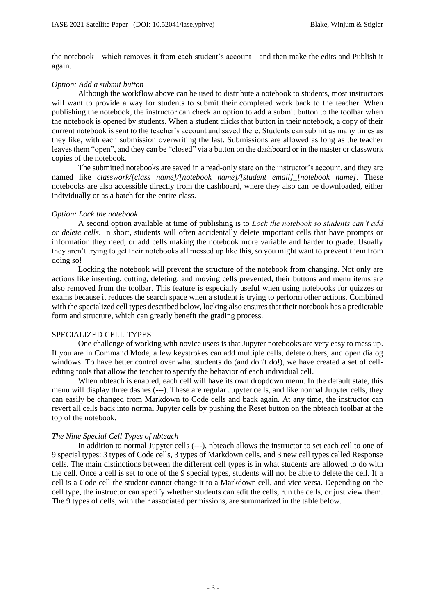the notebook—which removes it from each student's account—and then make the edits and Publish it again.

### *Option: Add a submit button*

Although the workflow above can be used to distribute a notebook to students, most instructors will want to provide a way for students to submit their completed work back to the teacher. When publishing the notebook, the instructor can check an option to add a submit button to the toolbar when the notebook is opened by students. When a student clicks that button in their notebook, a copy of their current notebook is sent to the teacher's account and saved there. Students can submit as many times as they like, with each submission overwriting the last. Submissions are allowed as long as the teacher leaves them "open", and they can be "closed" via a button on the dashboard or in the master or classwork copies of the notebook.

The submitted notebooks are saved in a read-only state on the instructor's account, and they are named like *classwork/[class name]/[notebook name]/[student email]\_[notebook name]*. These notebooks are also accessible directly from the dashboard, where they also can be downloaded, either individually or as a batch for the entire class.

# *Option: Lock the notebook*

A second option available at time of publishing is to *Lock the notebook so students can't add or delete cells*. In short, students will often accidentally delete important cells that have prompts or information they need, or add cells making the notebook more variable and harder to grade. Usually they aren't trying to get their notebooks all messed up like this, so you might want to prevent them from doing so!

Locking the notebook will prevent the structure of the notebook from changing. Not only are actions like inserting, cutting, deleting, and moving cells prevented, their buttons and menu items are also removed from the toolbar. This feature is especially useful when using notebooks for quizzes or exams because it reduces the search space when a student is trying to perform other actions. Combined with the specialized cell types described below, locking also ensures that their notebook has a predictable form and structure, which can greatly benefit the grading process.

### SPECIALIZED CELL TYPES

One challenge of working with novice users is that Jupyter notebooks are very easy to mess up. If you are in Command Mode, a few keystrokes can add multiple cells, delete others, and open dialog windows. To have better control over what students do (and don't do!), we have created a set of cellediting tools that allow the teacher to specify the behavior of each individual cell.

When nbteach is enabled, each cell will have its own dropdown menu. In the default state, this menu will display three dashes (---). These are regular Jupyter cells, and like normal Jupyter cells, they can easily be changed from Markdown to Code cells and back again. At any time, the instructor can revert all cells back into normal Jupyter cells by pushing the Reset button on the nbteach toolbar at the top of the notebook.

### *The Nine Special Cell Types of nbteach*

In addition to normal Jupyter cells (---), nbteach allows the instructor to set each cell to one of 9 special types: 3 types of Code cells, 3 types of Markdown cells, and 3 new cell types called Response cells. The main distinctions between the different cell types is in what students are allowed to do with the cell. Once a cell is set to one of the 9 special types, students will not be able to delete the cell. If a cell is a Code cell the student cannot change it to a Markdown cell, and vice versa. Depending on the cell type, the instructor can specify whether students can edit the cells, run the cells, or just view them. The 9 types of cells, with their associated permissions, are summarized in the table below.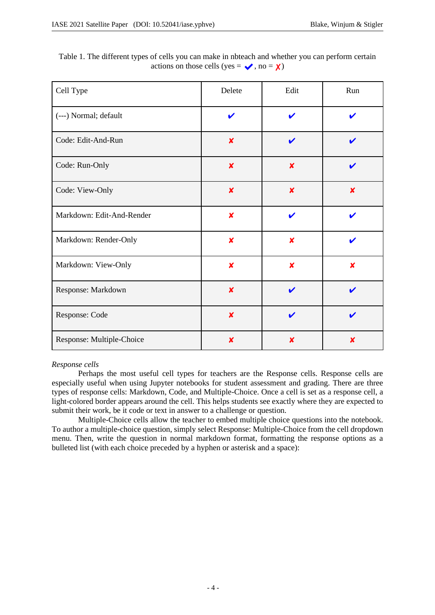| Cell Type                 | Delete                    | Edit                      | Run                       |
|---------------------------|---------------------------|---------------------------|---------------------------|
| (---) Normal; default     | $\boldsymbol{\nu}$        | ✔                         |                           |
| Code: Edit-And-Run        | $\boldsymbol{\mathsf{x}}$ | V                         |                           |
| Code: Run-Only            | $\boldsymbol{\mathsf{x}}$ | $\boldsymbol{x}$          |                           |
| Code: View-Only           | $\boldsymbol{x}$          | $\boldsymbol{x}$          | $\boldsymbol{\mathsf{x}}$ |
| Markdown: Edit-And-Render | $\boldsymbol{x}$          | ✔                         | ı                         |
| Markdown: Render-Only     | $\boldsymbol{\mathsf{x}}$ | $\boldsymbol{\mathsf{x}}$ | ✔                         |
| Markdown: View-Only       | $\boldsymbol{x}$          | $\boldsymbol{\mathsf{x}}$ | $\boldsymbol{\mathsf{x}}$ |
| Response: Markdown        | $\boldsymbol{x}$          | ✔                         | ✔                         |
| Response: Code            | $\boldsymbol{x}$          | ✔                         | ı                         |
| Response: Multiple-Choice | X                         | x                         | x                         |

Table 1. The different types of cells you can make in nbteach and whether you can perform certain actions on those cells (yes =  $\sqrt{\ }$ , no =  $\chi$ )

### *Response cells*

Perhaps the most useful cell types for teachers are the Response cells. Response cells are especially useful when using Jupyter notebooks for student assessment and grading. There are three types of response cells: Markdown, Code, and Multiple-Choice. Once a cell is set as a response cell, a light-colored border appears around the cell. This helps students see exactly where they are expected to submit their work, be it code or text in answer to a challenge or question.

Multiple-Choice cells allow the teacher to embed multiple choice questions into the notebook. To author a multiple-choice question, simply select Response: Multiple-Choice from the cell dropdown menu. Then, write the question in normal markdown format, formatting the response options as a bulleted list (with each choice preceded by a hyphen or asterisk and a space):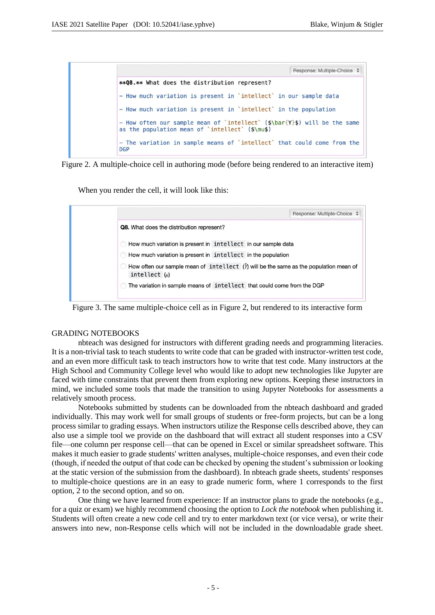



When you render the cell, it will look like this:



Figure 3. The same multiple-choice cell as in Figure 2, but rendered to its interactive form

### GRADING NOTEBOOKS

nbteach was designed for instructors with different grading needs and programming literacies. It is a non-trivial task to teach students to write code that can be graded with instructor-written test code, and an even more difficult task to teach instructors how to write that test code. Many instructors at the High School and Community College level who would like to adopt new technologies like Jupyter are faced with time constraints that prevent them from exploring new options. Keeping these instructors in mind, we included some tools that made the transition to using Jupyter Notebooks for assessments a relatively smooth process.

Notebooks submitted by students can be downloaded from the nbteach dashboard and graded individually. This may work well for small groups of students or free-form projects, but can be a long process similar to grading essays. When instructors utilize the Response cells described above, they can also use a simple tool we provide on the dashboard that will extract all student responses into a CSV file—one column per response cell—that can be opened in Excel or similar spreadsheet software. This makes it much easier to grade students' written analyses, multiple-choice responses, and even their code (though, if needed the output of that code can be checked by opening the student's submission or looking at the static version of the submission from the dashboard). In nbteach grade sheets, students' responses to multiple-choice questions are in an easy to grade numeric form, where 1 corresponds to the first option, 2 to the second option, and so on.

One thing we have learned from experience: If an instructor plans to grade the notebooks (e.g., for a quiz or exam) we highly recommend choosing the option to *Lock the notebook* when publishing it. Students will often create a new code cell and try to enter markdown text (or vice versa), or write their answers into new, non-Response cells which will not be included in the downloadable grade sheet.